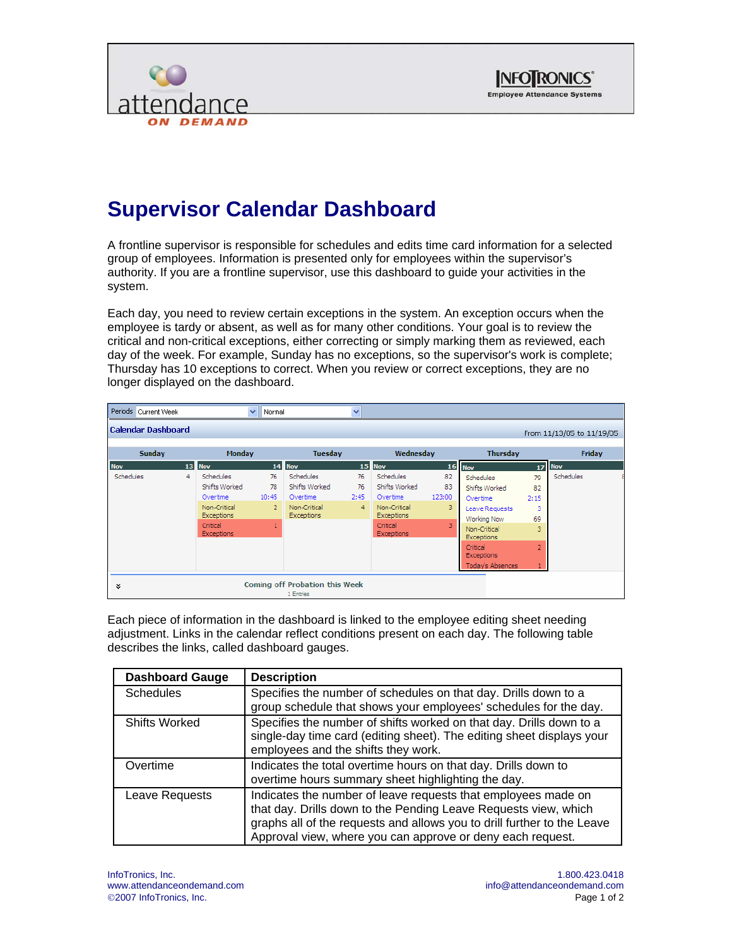



## **Supervisor Calendar Dashboard**

A frontline supervisor is responsible for schedules and edits time card information for a selected group of employees. Information is presented only for employees within the supervisor's authority. If you are a frontline supervisor, use this dashboard to guide your activities in the system.

Each day, you need to review certain exceptions in the system. An exception occurs when the employee is tardy or absent, as well as for many other conditions. Your goal is to review the critical and non-critical exceptions, either correcting or simply marking them as reviewed, each day of the week. For example, Sunday has no exceptions, so the supervisor's work is complete; Thursday has 10 exceptions to correct. When you review or correct exceptions, they are no longer displayed on the dashboard.

|                  | Periods Current Week |   |                                   | $\checkmark$<br>Normal |                                                    | $\checkmark$   |                                   |        |                                   |                |                           |  |
|------------------|----------------------|---|-----------------------------------|------------------------|----------------------------------------------------|----------------|-----------------------------------|--------|-----------------------------------|----------------|---------------------------|--|
|                  | Calendar Dashboard   |   |                                   |                        |                                                    |                |                                   |        |                                   |                | From 11/13/05 to 11/19/05 |  |
|                  | Sunday               |   | <b>Monday</b>                     |                        | <b>Tuesday</b>                                     |                | Wednesday                         |        | <b>Thursday</b>                   |                | Friday                    |  |
| <b>Nov</b>       |                      |   | 13 Nov                            |                        | 14 Nov                                             |                | 15 Nov                            | 16     | <b>Nov</b>                        |                | <b>17 Nov</b>             |  |
| <b>Schedules</b> |                      | 4 | Schedules                         | 76                     | <b>Schedules</b>                                   | 76             | Schedules                         | 82     | Schedules                         | 79             | Schedules                 |  |
|                  |                      |   | Shifts Worked                     | 78                     | Shifts Worked                                      | 76             | Shifts Worked                     | 83     | Shifts Worked                     | 82             |                           |  |
|                  |                      |   | Overtime                          | 10:45                  | Overtime                                           | 2:45           | Overtime                          | 123:00 | Overtime                          | 2:15           |                           |  |
|                  |                      |   | Non-Critical<br><b>Exceptions</b> | $\overline{2}$         | Non-Critical<br><b>Exceptions</b>                  | $\overline{4}$ | Non-Critical<br><b>Exceptions</b> | 3      | Leave Requests<br>Working Now     | 3<br>69        |                           |  |
|                  |                      |   | Critical<br>Exceptions            | $\mathbf{1}$           |                                                    |                | Critical<br><b>Exceptions</b>     | 3      | Non-Critical<br><b>Exceptions</b> | 3              |                           |  |
|                  |                      |   |                                   |                        |                                                    |                |                                   |        | Critical<br><b>Exceptions</b>     | $\overline{2}$ |                           |  |
|                  |                      |   |                                   |                        |                                                    |                |                                   |        | <b>Today's Absences</b>           |                |                           |  |
| ×.               |                      |   |                                   |                        | <b>Coming off Probation this Week</b><br>1 Entries |                |                                   |        |                                   |                |                           |  |

Each piece of information in the dashboard is linked to the employee editing sheet needing adjustment. Links in the calendar reflect conditions present on each day. The following table describes the links, called dashboard gauges.

| <b>Dashboard Gauge</b> | <b>Description</b>                                                                                                                                                                                                                                                        |
|------------------------|---------------------------------------------------------------------------------------------------------------------------------------------------------------------------------------------------------------------------------------------------------------------------|
| <b>Schedules</b>       | Specifies the number of schedules on that day. Drills down to a<br>group schedule that shows your employees' schedules for the day.                                                                                                                                       |
| <b>Shifts Worked</b>   | Specifies the number of shifts worked on that day. Drills down to a<br>single-day time card (editing sheet). The editing sheet displays your<br>employees and the shifts they work.                                                                                       |
| Overtime               | Indicates the total overtime hours on that day. Drills down to<br>overtime hours summary sheet highlighting the day.                                                                                                                                                      |
| Leave Requests         | Indicates the number of leave requests that employees made on<br>that day. Drills down to the Pending Leave Requests view, which<br>graphs all of the requests and allows you to drill further to the Leave<br>Approval view, where you can approve or deny each request. |